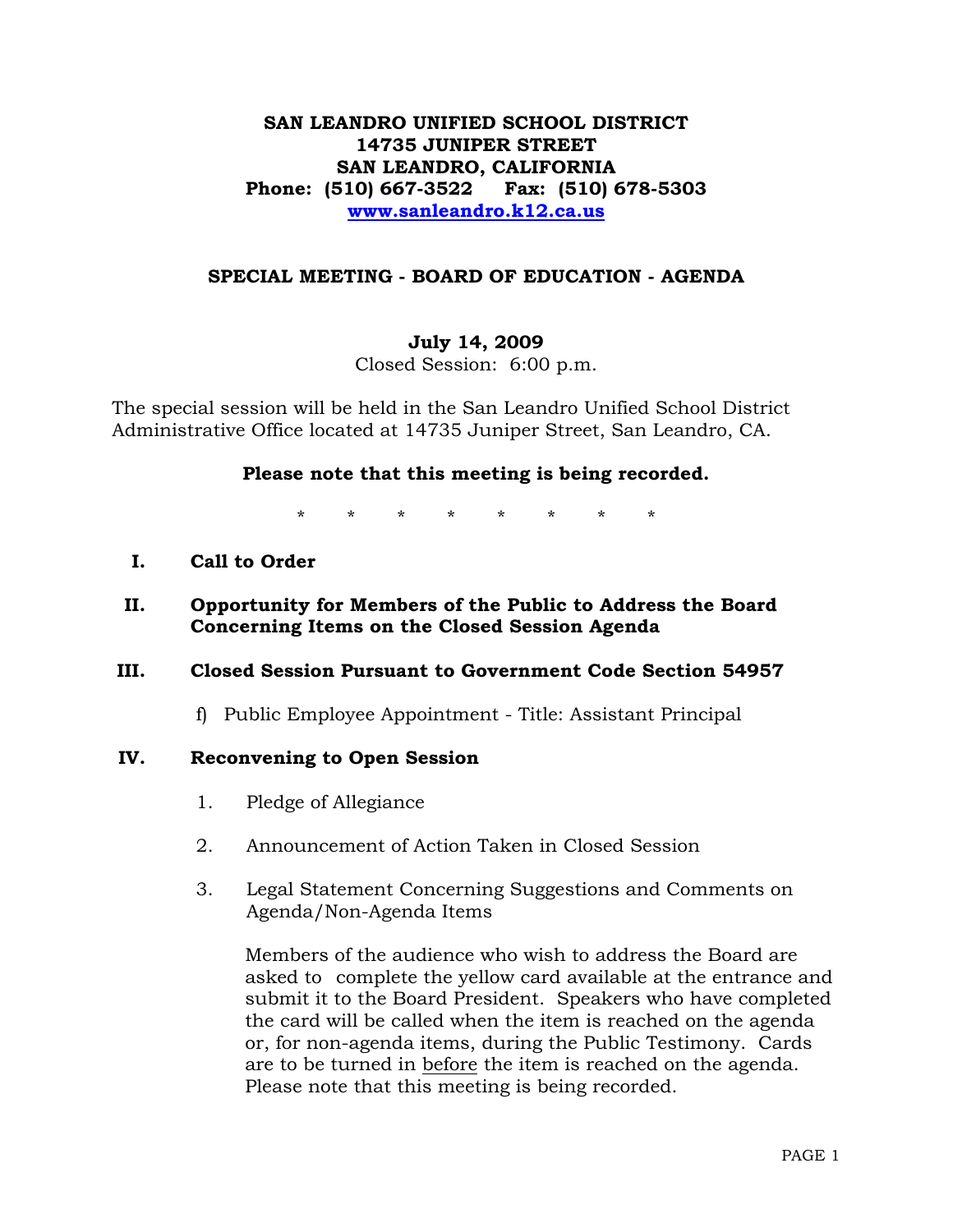# **SAN LEANDRO UNIFIED SCHOOL DISTRICT 14735 JUNIPER STREET SAN LEANDRO, CALIFORNIA Phone: (510) 667-3522 Fax: (510) 678-5303 [www.sanleandro.k12.ca.us](http://www.sanleandro.k12.ca.us/)**

## **SPECIAL MEETING - BOARD OF EDUCATION - AGENDA**

#### **July 14, 2009**

Closed Session: 6:00 p.m.

The special session will be held in the San Leandro Unified School District Administrative Office located at 14735 Juniper Street, San Leandro, CA.

## **Please note that this meeting is being recorded.**

\* \* \* \* \* \* \* \*

## **I. Call to Order**

# **II. Opportunity for Members of the Public to Address the Board Concerning Items on the Closed Session Agenda**

#### **III. Closed Session Pursuant to Government Code Section 54957**

f) Public Employee Appointment - Title: Assistant Principal

#### **IV. Reconvening to Open Session**

- 1. Pledge of Allegiance
- 2. Announcement of Action Taken in Closed Session
- 3. Legal Statement Concerning Suggestions and Comments on Agenda/Non-Agenda Items

 Members of the audience who wish to address the Board are asked to complete the yellow card available at the entrance and submit it to the Board President. Speakers who have completed the card will be called when the item is reached on the agenda or, for non-agenda items, during the Public Testimony. Cards are to be turned in before the item is reached on the agenda. Please note that this meeting is being recorded.